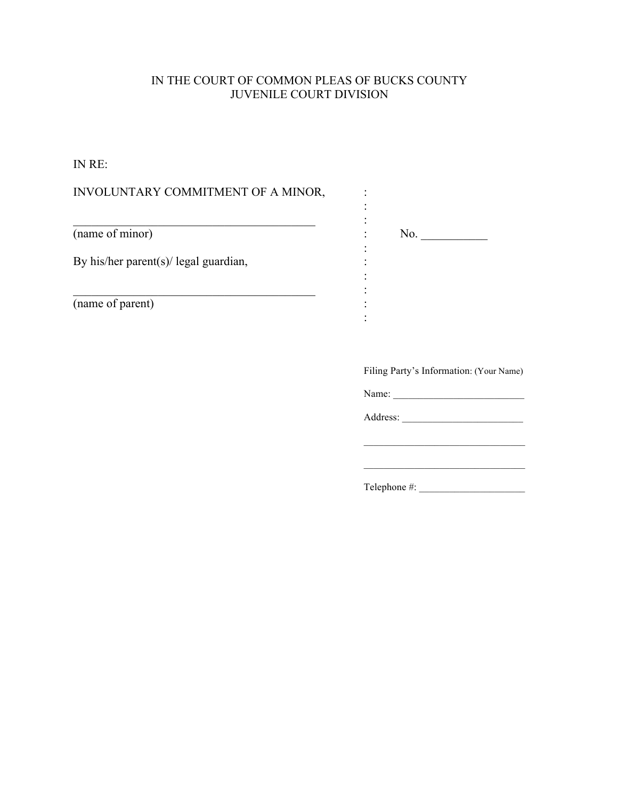# IN THE COURT OF COMMON PLEAS OF BUCKS COUNTY JUVENILE COURT DIVISION

IN RE:

| INVOLUNTARY COMMITMENT OF A MINOR,    |                                         |
|---------------------------------------|-----------------------------------------|
| $\overline{\text{(name of minor)}}$   | No.                                     |
| By his/her parent(s)/ legal guardian, |                                         |
| (name of parent)                      |                                         |
|                                       | Filing Party's Information: (Your Name) |
|                                       | Name: Name:                             |
|                                       |                                         |
|                                       |                                         |

Telephone #: \_\_\_\_\_\_\_\_\_\_\_\_\_\_\_\_\_\_\_\_\_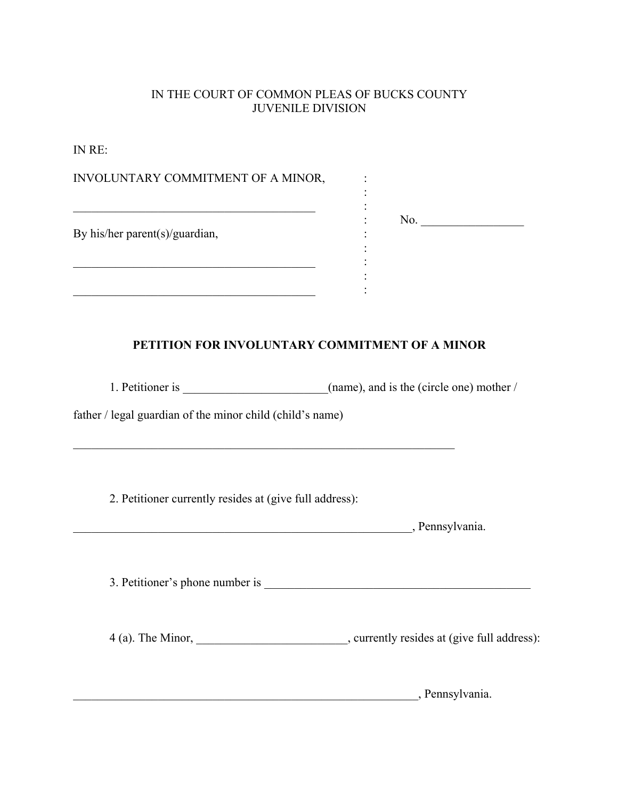## IN THE COURT OF COMMON PLEAS OF BUCKS COUNTY JUVENILE DIVISION

IN RE:

| INVOLUNTARY COMMITMENT OF A MINOR,                                                                                                                                                                               |                                                                                             |
|------------------------------------------------------------------------------------------------------------------------------------------------------------------------------------------------------------------|---------------------------------------------------------------------------------------------|
| <u> 1980 - Jan James James, martin amerikan basar (</u><br>By his/her parent(s)/guardian,<br><u> 1989 - Johann John Stoff, deutscher Stoffen und der Stoffen und der Stoffen und der Stoffen und der Stoffen</u> | No.                                                                                         |
| <u> 1980 - Johann John Stein, marwolaeth a bhannaich an t-Amhain an t-Amhain an t-Amhain an t-Amhain an t-Amhain</u><br>PETITION FOR INVOLUNTARY COMMITMENT OF A MINOR                                           |                                                                                             |
|                                                                                                                                                                                                                  |                                                                                             |
| father / legal guardian of the minor child (child's name)<br><u> 1989 - Johann John Stoff, deutscher Stoffen und der Stoffen und der Stoffen und der Stoffen und der Stoffen</u>                                 |                                                                                             |
| 2. Petitioner currently resides at (give full address):                                                                                                                                                          |                                                                                             |
|                                                                                                                                                                                                                  | Pennsylvania.                                                                               |
|                                                                                                                                                                                                                  |                                                                                             |
|                                                                                                                                                                                                                  | 4 (a). The Minor, ______________________________, currently resides at (give full address): |
|                                                                                                                                                                                                                  | _, Pennsylvania.                                                                            |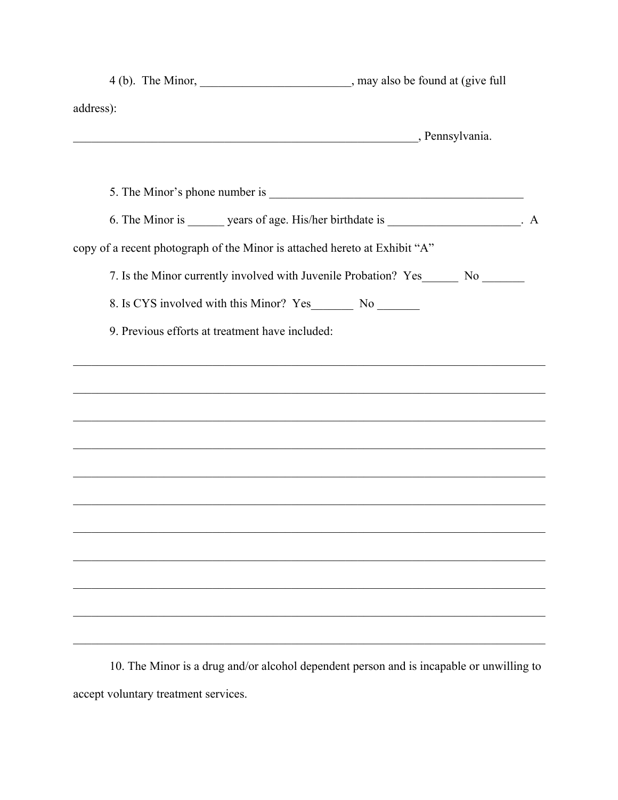| address):<br>Pennsylvania.<br>6. The Minor is ________ years of age. His/her birthdate is ____________________. A<br>copy of a recent photograph of the Minor is attached hereto at Exhibit "A"<br>7. Is the Minor currently involved with Juvenile Probation? Yes_________ No ________<br>9. Previous efforts at treatment have included:<br><u> 1989 - Johann Harry Harry Harry Harry Harry Harry Harry Harry Harry Harry Harry Harry Harry Harry Harry Harry</u><br><u> 1989 - Johann Barbara, marka marka masjid aka masjid aka masjid aka masjid aka masjid aka masjid aka masjid a</u><br><u> 1989 - Johann John Stoff, deutscher Stoff, der Stoff, der Stoff, der Stoff, der Stoff, der Stoff, der Stoff, d</u><br>,我们也不能在这里的人,我们也不能在这里的人,我们也不能在这里的人,我们也不能在这里的人,我们也不能在这里的人,我们也不能在这里的人,我们也不能在这里的人,我们也 | 4 (b). The Minor, ________________________________, may also be found at (give full |  |  |
|-------------------------------------------------------------------------------------------------------------------------------------------------------------------------------------------------------------------------------------------------------------------------------------------------------------------------------------------------------------------------------------------------------------------------------------------------------------------------------------------------------------------------------------------------------------------------------------------------------------------------------------------------------------------------------------------------------------------------------------------------------------------------------------------------------------|-------------------------------------------------------------------------------------|--|--|
|                                                                                                                                                                                                                                                                                                                                                                                                                                                                                                                                                                                                                                                                                                                                                                                                             |                                                                                     |  |  |
|                                                                                                                                                                                                                                                                                                                                                                                                                                                                                                                                                                                                                                                                                                                                                                                                             |                                                                                     |  |  |
|                                                                                                                                                                                                                                                                                                                                                                                                                                                                                                                                                                                                                                                                                                                                                                                                             |                                                                                     |  |  |
|                                                                                                                                                                                                                                                                                                                                                                                                                                                                                                                                                                                                                                                                                                                                                                                                             |                                                                                     |  |  |
|                                                                                                                                                                                                                                                                                                                                                                                                                                                                                                                                                                                                                                                                                                                                                                                                             |                                                                                     |  |  |
|                                                                                                                                                                                                                                                                                                                                                                                                                                                                                                                                                                                                                                                                                                                                                                                                             |                                                                                     |  |  |
|                                                                                                                                                                                                                                                                                                                                                                                                                                                                                                                                                                                                                                                                                                                                                                                                             |                                                                                     |  |  |
|                                                                                                                                                                                                                                                                                                                                                                                                                                                                                                                                                                                                                                                                                                                                                                                                             |                                                                                     |  |  |
|                                                                                                                                                                                                                                                                                                                                                                                                                                                                                                                                                                                                                                                                                                                                                                                                             |                                                                                     |  |  |
|                                                                                                                                                                                                                                                                                                                                                                                                                                                                                                                                                                                                                                                                                                                                                                                                             |                                                                                     |  |  |
|                                                                                                                                                                                                                                                                                                                                                                                                                                                                                                                                                                                                                                                                                                                                                                                                             |                                                                                     |  |  |
|                                                                                                                                                                                                                                                                                                                                                                                                                                                                                                                                                                                                                                                                                                                                                                                                             |                                                                                     |  |  |
|                                                                                                                                                                                                                                                                                                                                                                                                                                                                                                                                                                                                                                                                                                                                                                                                             |                                                                                     |  |  |
|                                                                                                                                                                                                                                                                                                                                                                                                                                                                                                                                                                                                                                                                                                                                                                                                             |                                                                                     |  |  |
|                                                                                                                                                                                                                                                                                                                                                                                                                                                                                                                                                                                                                                                                                                                                                                                                             |                                                                                     |  |  |
|                                                                                                                                                                                                                                                                                                                                                                                                                                                                                                                                                                                                                                                                                                                                                                                                             |                                                                                     |  |  |
|                                                                                                                                                                                                                                                                                                                                                                                                                                                                                                                                                                                                                                                                                                                                                                                                             |                                                                                     |  |  |
|                                                                                                                                                                                                                                                                                                                                                                                                                                                                                                                                                                                                                                                                                                                                                                                                             |                                                                                     |  |  |
|                                                                                                                                                                                                                                                                                                                                                                                                                                                                                                                                                                                                                                                                                                                                                                                                             |                                                                                     |  |  |
|                                                                                                                                                                                                                                                                                                                                                                                                                                                                                                                                                                                                                                                                                                                                                                                                             |                                                                                     |  |  |
|                                                                                                                                                                                                                                                                                                                                                                                                                                                                                                                                                                                                                                                                                                                                                                                                             |                                                                                     |  |  |

10. The Minor is a drug and/or alcohol dependent person and is incapable or unwilling to accept voluntary treatment services.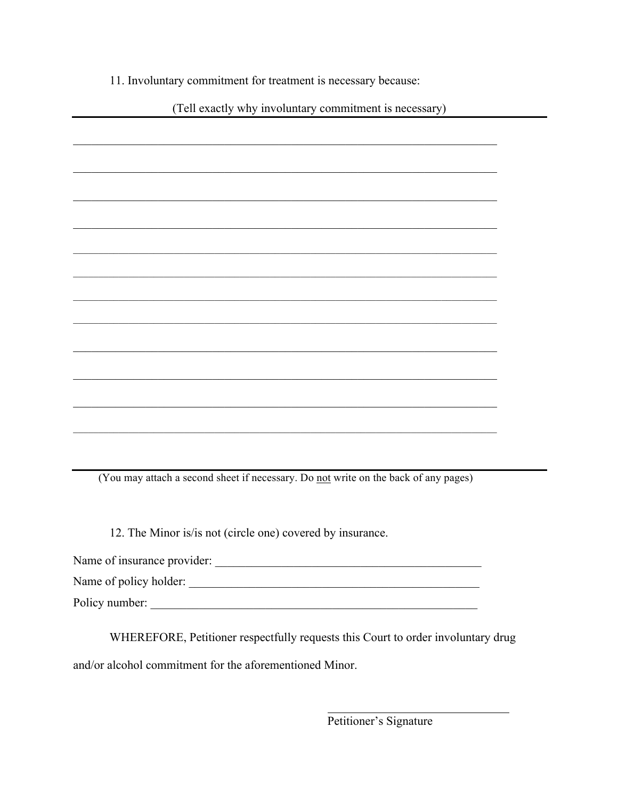11. Involuntary commitment for treatment is necessary because:

(Tell exactly why involuntary commitment is necessary)

(You may attach a second sheet if necessary. Do not write on the back of any pages)

12. The Minor is/is not (circle one) covered by insurance.

Name of insurance provider:

Name of policy holder:

Policy number:

WHEREFORE, Petitioner respectfully requests this Court to order involuntary drug and/or alcohol commitment for the aforementioned Minor.

Petitioner's Signature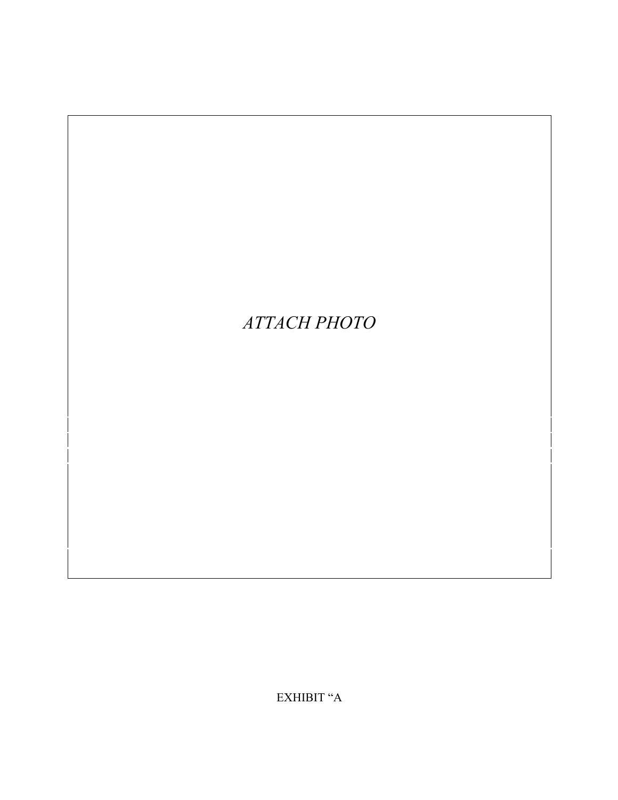# АТТАСН РНОТО

EXHIBIT "A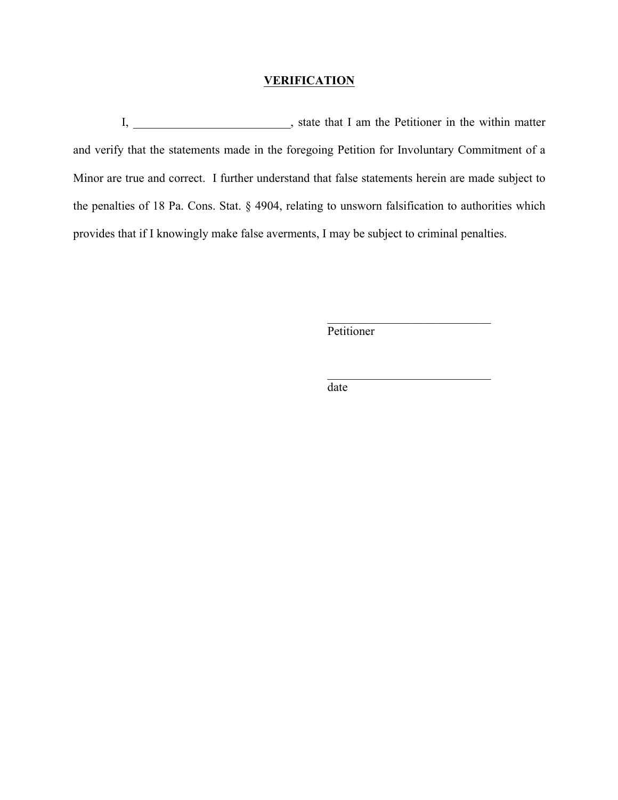#### **VERIFICATION**

I, state that I am the Petitioner in the within matter and verify that the statements made in the foregoing Petition for Involuntary Commitment of a Minor are true and correct. I further understand that false statements herein are made subject to the penalties of 18 Pa. Cons. Stat. § 4904, relating to unsworn falsification to authorities which provides that if I knowingly make false averments, I may be subject to criminal penalties.

Petitioner

\_\_\_\_\_\_\_\_\_\_\_\_\_\_\_\_\_\_\_\_\_\_\_\_\_\_\_

\_\_\_\_\_\_\_\_\_\_\_\_\_\_\_\_\_\_\_\_\_\_\_\_\_\_\_

date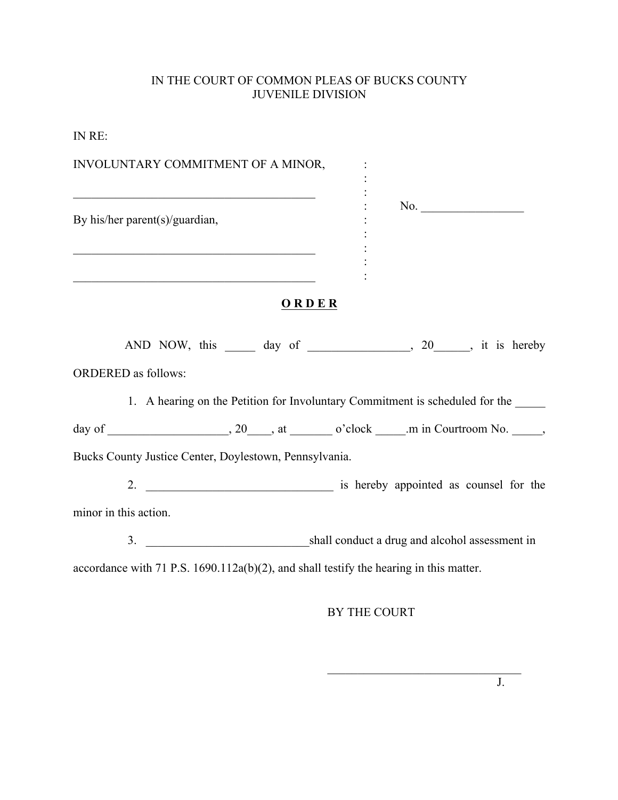## IN THE COURT OF COMMON PLEAS OF BUCKS COUNTY JUVENILE DIVISION

IN RE:

| INVOLUNTARY COMMITMENT OF A MINOR,                                                                                                                                                                                  |                                                                                        |
|---------------------------------------------------------------------------------------------------------------------------------------------------------------------------------------------------------------------|----------------------------------------------------------------------------------------|
| <u> 1989 - Johann Barnett, fransk politiker (d. 1989)</u><br>By his/her parent(s)/guardian,<br><u> 1989 - Johann John Stoff, mars eta berriaren 1989 - Johann Stoff, marrar eta baten erroman eta baten erroman</u> | No.                                                                                    |
| <u> 1989 - Johann Stoff, Amerikaansk politiker (</u>                                                                                                                                                                | ORDER                                                                                  |
|                                                                                                                                                                                                                     | AND NOW, this _______ day of ________________, 20_____, it is hereby                   |
| <b>ORDERED</b> as follows:                                                                                                                                                                                          |                                                                                        |
|                                                                                                                                                                                                                     | 1. A hearing on the Petition for Involuntary Commitment is scheduled for the           |
|                                                                                                                                                                                                                     |                                                                                        |
| Bucks County Justice Center, Doylestown, Pennsylvania.                                                                                                                                                              |                                                                                        |
|                                                                                                                                                                                                                     |                                                                                        |
| minor in this action.                                                                                                                                                                                               |                                                                                        |
|                                                                                                                                                                                                                     |                                                                                        |
|                                                                                                                                                                                                                     | accordance with 71 P.S. 1690.112a(b)(2), and shall testify the hearing in this matter. |

## BY THE COURT

 $\mathcal{L}_\text{max}$ 

J.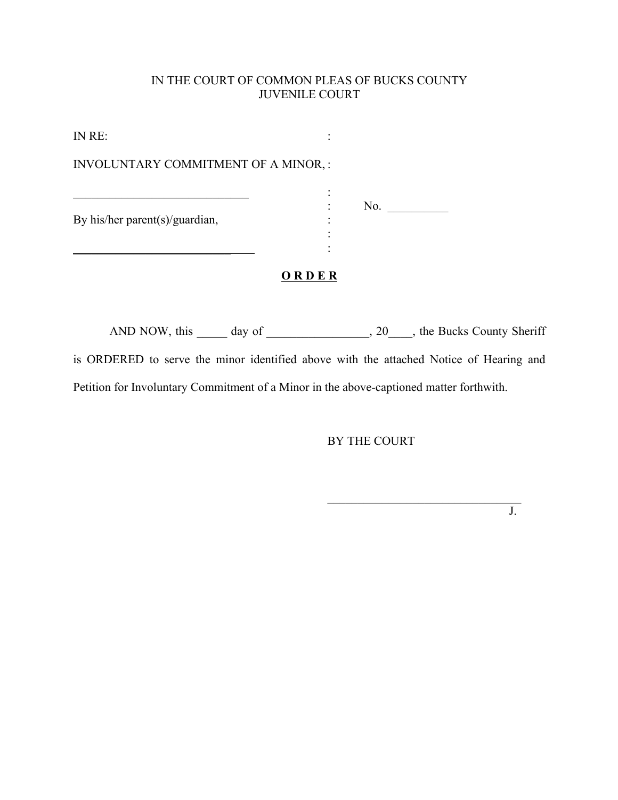### IN THE COURT OF COMMON PLEAS OF BUCKS COUNTY JUVENILE COURT

IN RE: : INVOLUNTARY COMMITMENT OF A MINOR, :  $\mathcal{L}_\text{max}$  , and the set of the set of the set of the set of the set of the set of the set of the set of the set of the set of the set of the set of the set of the set of the set of the set of the set of the set of the : No.  $\qquad$ By his/her parent(s)/guardian, :  $\frac{1}{\sqrt{2\pi}}$ **O R D E R**

AND NOW, this \_\_\_\_\_ day of \_\_\_\_\_\_\_\_\_\_\_\_\_\_\_, 20\_\_\_\_, the Bucks County Sheriff is ORDERED to serve the minor identified above with the attached Notice of Hearing and Petition for Involuntary Commitment of a Minor in the above-captioned matter forthwith.

BY THE COURT

 $\mathcal{L}_\text{max}$ 

J.